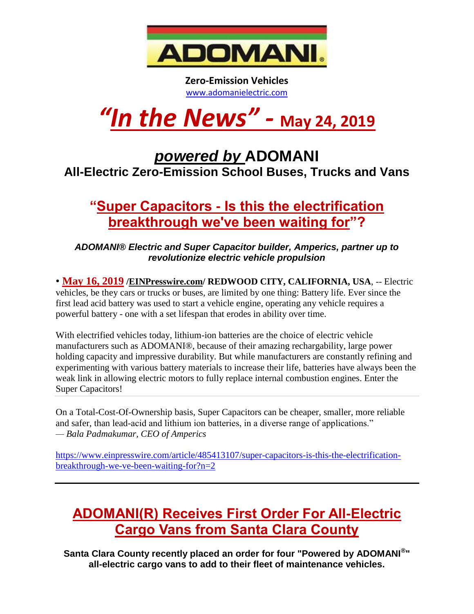

**Zero-Emission Vehicles** [www.adomanielectric.com](http://www.adomanielectric.com/)

# *"In the News" -* **May 24, 2019**

# *powered by* **ADOMANI All-Electric Zero-Emission School Buses, Trucks and Vans**

## **"Super Capacitors - Is this the electrification breakthrough we've been waiting for"?**

*ADOMANI® Electric and Super Capacitor builder, Amperics, partner up to revolutionize electric vehicle propulsion*

• **May 16, 2019 [/EINPresswire.com/](http://www.einpresswire.com/) REDWOOD CITY, CALIFORNIA, USA**, -- Electric vehicles, be they cars or trucks or buses, are limited by one thing: Battery life. Ever since the first lead acid battery was used to start a vehicle engine, operating any vehicle requires a powerful battery - one with a set lifespan that erodes in ability over time.

With electrified vehicles today, lithium-ion batteries are the choice of electric vehicle manufacturers such as ADOMANI®, because of their amazing rechargability, large power holding capacity and impressive durability. But while manufacturers are constantly refining and experimenting with various battery materials to increase their life, batteries have always been the weak link in allowing electric motors to fully replace internal combustion engines. Enter the Super Capacitors!

On a Total-Cost-Of-Ownership basis, Super Capacitors can be cheaper, smaller, more reliable and safer, than lead-acid and lithium ion batteries, in a diverse range of applications." *— Bala Padmakumar, CEO of Amperics*

[https://www.einpresswire.com/article/485413107/super-capacitors-is-this-the-electrification](https://www.einpresswire.com/article/485413107/super-capacitors-is-this-the-electrification-breakthrough-we-ve-been-waiting-for?n=2)[breakthrough-we-ve-been-waiting-for?n=2](https://www.einpresswire.com/article/485413107/super-capacitors-is-this-the-electrification-breakthrough-we-ve-been-waiting-for?n=2)

# **ADOMANI(R) Receives First Order For All-Electric Cargo Vans from Santa Clara County**

**Santa Clara County recently placed an order for four "Powered by ADOMANI® " all-electric cargo vans to add to their fleet of maintenance vehicles.**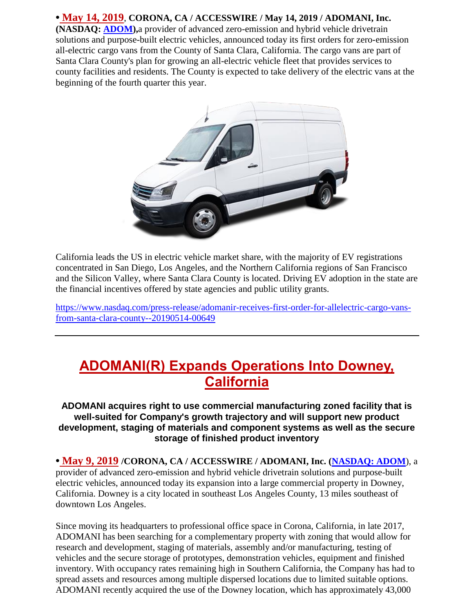**• May 14, 2019**, **CORONA, CA / ACCESSWIRE / May 14, 2019 / ADOMANI, Inc. (NASDAQ: [ADOM\)](http://pr.report/z4-VfnyU),**a provider of advanced zero-emission and hybrid vehicle drivetrain solutions and purpose-built electric vehicles, announced today its first orders for zero-emission all-electric cargo vans from the County of Santa Clara, California. The cargo vans are part of Santa Clara County's plan for growing an all-electric vehicle fleet that provides services to county facilities and residents. The County is expected to take delivery of the electric vans at the beginning of the fourth quarter this year.



California leads the US in electric vehicle market share, with the majority of EV registrations concentrated in San Diego, Los Angeles, and the Northern California regions of San Francisco and the Silicon Valley, where Santa Clara County is located. Driving EV adoption in the state are the financial incentives offered by state agencies and public utility grants.

[https://www.nasdaq.com/press-release/adomanir-receives-first-order-for-allelectric-cargo-vans](https://www.nasdaq.com/press-release/adomanir-receives-first-order-for-allelectric-cargo-vans-from-santa-clara-county--20190514-00649)[from-santa-clara-county--20190514-00649](https://www.nasdaq.com/press-release/adomanir-receives-first-order-for-allelectric-cargo-vans-from-santa-clara-county--20190514-00649)

### **ADOMANI(R) Expands Operations Into Downey, California**

**ADOMANI acquires right to use commercial manufacturing zoned facility that is well-suited for Company's growth trajectory and will support new product development, staging of materials and component systems as well as the secure storage of finished product inventory**

**• May 9, 2019 /CORONA, CA / ACCESSWIRE / ADOMANI, Inc. [\(NASDAQ: ADOM](http://pr.report/ZAUshJWy)**), a provider of advanced zero-emission and hybrid vehicle drivetrain solutions and purpose-built electric vehicles, announced today its expansion into a large commercial property in Downey, California. Downey is a city located in southeast Los Angeles County, 13 miles southeast of downtown Los Angeles.

Since moving its headquarters to professional office space in Corona, California, in late 2017, ADOMANI has been searching for a complementary property with zoning that would allow for research and development, staging of materials, assembly and/or manufacturing, testing of vehicles and the secure storage of prototypes, demonstration vehicles, equipment and finished inventory. With occupancy rates remaining high in Southern California, the Company has had to spread assets and resources among multiple dispersed locations due to limited suitable options. ADOMANI recently acquired the use of the Downey location, which has approximately 43,000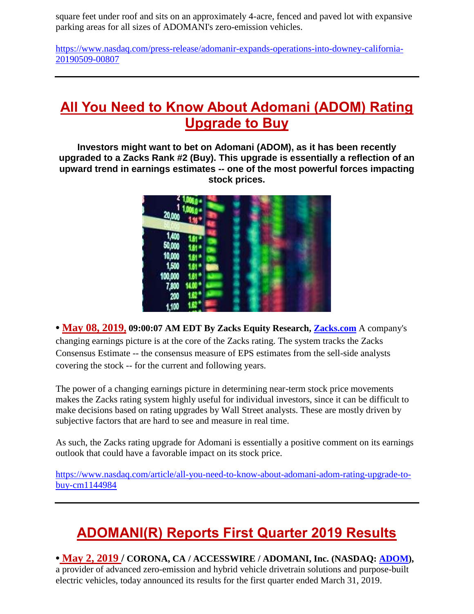square feet under roof and sits on an approximately 4-acre, fenced and paved lot with expansive parking areas for all sizes of ADOMANI's zero-emission vehicles.

[https://www.nasdaq.com/press-release/adomanir-expands-operations-into-downey-california-](https://www.nasdaq.com/press-release/adomanir-expands-operations-into-downey-california-20190509-00807)[20190509-00807](https://www.nasdaq.com/press-release/adomanir-expands-operations-into-downey-california-20190509-00807)

# **All You Need to Know About Adomani (ADOM) Rating Upgrade to Buy**

**Investors might want to bet on Adomani (ADOM), as it has been recently upgraded to a Zacks Rank #2 (Buy). This upgrade is essentially a reflection of an upward trend in earnings estimates -- one of the most powerful forces impacting stock prices.**



**• May 08, 2019, 09:00:07 AM EDT By Zacks Equity Research, [Zacks.com](https://www.nasdaq.com/author/zacks)** A company's changing earnings picture is at the core of the Zacks rating. The system tracks the Zacks Consensus Estimate -- the consensus measure of EPS estimates from the sell-side analysts covering the stock -- for the current and following years.

The power of a changing earnings picture in determining near-term stock price movements makes the Zacks rating system highly useful for individual investors, since it can be difficult to make decisions based on rating upgrades by Wall Street analysts. These are mostly driven by subjective factors that are hard to see and measure in real time.

As such, the Zacks rating upgrade for Adomani is essentially a positive comment on its earnings outlook that could have a favorable impact on its stock price.

[https://www.nasdaq.com/article/all-you-need-to-know-about-adomani-adom-rating-upgrade-to](https://www.nasdaq.com/article/all-you-need-to-know-about-adomani-adom-rating-upgrade-to-buy-cm1144984)[buy-cm1144984](https://www.nasdaq.com/article/all-you-need-to-know-about-adomani-adom-rating-upgrade-to-buy-cm1144984)

# **ADOMANI(R) Reports First Quarter 2019 Results**

**• May 2, 2019 / CORONA, CA / ACCESSWIRE / ADOMANI, Inc. (NASDAQ: [ADOM\)](http://pr.report/3bjzwCnT),** a provider of advanced zero-emission and hybrid vehicle drivetrain solutions and purpose-built electric vehicles, today announced its results for the first quarter ended March 31, 2019.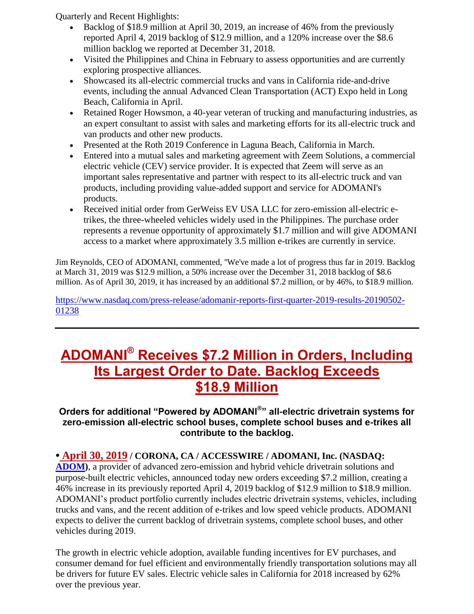Quarterly and Recent Highlights:

- Backlog of \$18.9 million at April 30, 2019, an increase of 46% from the previously reported April 4, 2019 backlog of \$12.9 million, and a 120% increase over the \$8.6 million backlog we reported at December 31, 2018.
- Visited the Philippines and China in February to assess opportunities and are currently exploring prospective alliances.
- Showcased its all-electric commercial trucks and vans in California ride-and-drive events, including the annual Advanced Clean Transportation (ACT) Expo held in Long Beach, California in April.
- Retained Roger Howsmon, a 40-year veteran of trucking and manufacturing industries, as an expert consultant to assist with sales and marketing efforts for its all-electric truck and van products and other new products.
- Presented at the Roth 2019 Conference in Laguna Beach, California in March.
- Entered into a mutual sales and marketing agreement with Zeem Solutions, a commercial electric vehicle (CEV) service provider. It is expected that Zeem will serve as an important sales representative and partner with respect to its all-electric truck and van products, including providing value-added support and service for ADOMANI's products.
- Received initial order from GerWeiss EV USA LLC for zero-emission all-electric etrikes, the three-wheeled vehicles widely used in the Philippines. The purchase order represents a revenue opportunity of approximately \$1.7 million and will give ADOMANI access to a market where approximately 3.5 million e-trikes are currently in service.

Jim Reynolds, CEO of ADOMANI, commented, ''We've made a lot of progress thus far in 2019. Backlog at March 31, 2019 was \$12.9 million, a 50% increase over the December 31, 2018 backlog of \$8.6 million. As of April 30, 2019, it has increased by an additional \$7.2 million, or by 46%, to \$18.9 million.

[https://www.nasdaq.com/press-release/adomanir-reports-first-quarter-2019-results-20190502-](https://www.nasdaq.com/press-release/adomanir-reports-first-quarter-2019-results-20190502-01238) [01238](https://www.nasdaq.com/press-release/adomanir-reports-first-quarter-2019-results-20190502-01238)

# **ADOMANI® Receives \$7.2 Million in Orders, Including Its Largest Order to Date. Backlog Exceeds \$18.9 Million**

**Orders for additional "Powered by ADOMANI® " all-electric drivetrain systems for zero-emission all-electric school buses, complete school buses and e-trikes all contribute to the backlog.**

#### **• April 30, 2019 / CORONA, CA / ACCESSWIRE / ADOMANI, Inc. (NASDAQ:**

**[ADOM\)](http://pr.report/p2ubzt49)**, a provider of advanced zero-emission and hybrid vehicle drivetrain solutions and purpose-built electric vehicles, announced today new orders exceeding \$7.2 million, creating a 46% increase in its previously reported April 4, 2019 backlog of \$12.9 million to \$18.9 million. ADOMANI's product portfolio currently includes electric drivetrain systems, vehicles, including trucks and vans, and the recent addition of e-trikes and low speed vehicle products. ADOMANI expects to deliver the current backlog of drivetrain systems, complete school buses, and other vehicles during 2019.

The growth in electric vehicle adoption, available funding incentives for EV purchases, and consumer demand for fuel efficient and environmentally friendly transportation solutions may all be drivers for future EV sales. Electric vehicle sales in California for 2018 increased by 62% over the previous year.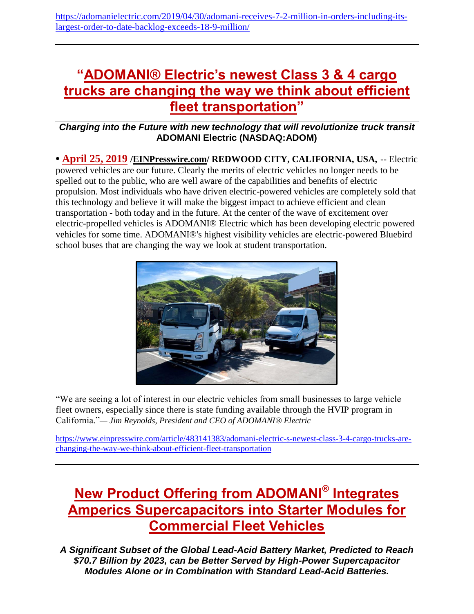[https://adomanielectric.com/2019/04/30/adomani-receives-7-2-million-in-orders-including-its](https://adomanielectric.com/2019/04/30/adomani-receives-7-2-million-in-orders-including-its-largest-order-to-date-backlog-exceeds-18-9-million/)[largest-order-to-date-backlog-exceeds-18-9-million/](https://adomanielectric.com/2019/04/30/adomani-receives-7-2-million-in-orders-including-its-largest-order-to-date-backlog-exceeds-18-9-million/)

## **"ADOMANI® Electric's newest Class 3 & 4 cargo trucks are changing the way we think about efficient fleet transportation"**

#### *Charging into the Future with new technology that will revolutionize truck transit* **ADOMANI Electric (NASDAQ:ADOM)**

**• April 25, 2019 [/EINPresswire.com/](http://www.einpresswire.com/) REDWOOD CITY, CALIFORNIA, USA,** -- Electric powered vehicles are our future. Clearly the merits of electric vehicles no longer needs to be spelled out to the public, who are well aware of the capabilities and benefits of electric propulsion. Most individuals who have driven electric-powered vehicles are completely sold that this technology and believe it will make the biggest impact to achieve efficient and clean transportation - both today and in the future. At the center of the wave of excitement over electric-propelled vehicles is ADOMANI® Electric which has been developing electric powered vehicles for some time. ADOMANI®'s highest visibility vehicles are electric-powered Bluebird school buses that are changing the way we look at student transportation.



"We are seeing a lot of interest in our electric vehicles from small businesses to large vehicle fleet owners, especially since there is state funding available through the HVIP program in California."*— Jim Reynolds, President and CEO of ADOMANI® Electric*

[https://www.einpresswire.com/article/483141383/adomani-electric-s-newest-class-3-4-cargo-trucks-are](https://www.einpresswire.com/article/483141383/adomani-electric-s-newest-class-3-4-cargo-trucks-are-changing-the-way-we-think-about-efficient-fleet-transportation)[changing-the-way-we-think-about-efficient-fleet-transportation](https://www.einpresswire.com/article/483141383/adomani-electric-s-newest-class-3-4-cargo-trucks-are-changing-the-way-we-think-about-efficient-fleet-transportation)

# **New Product Offering from ADOMANI® Integrates Amperics Supercapacitors into Starter Modules for Commercial Fleet Vehicles**

*A Significant Subset of the Global Lead-Acid Battery Market, Predicted to Reach \$70.7 Billion by 2023, can be Better Served by High-Power Supercapacitor Modules Alone or in Combination with Standard Lead-Acid Batteries.*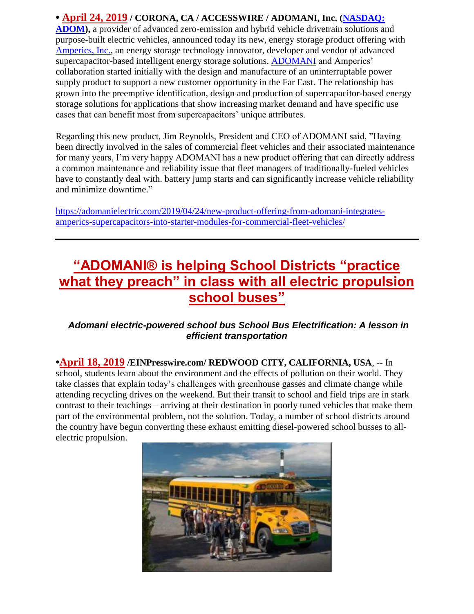**• April 24, 2019 / CORONA, CA / ACCESSWIRE / ADOMANI, Inc. [\(NASDAQ:](http://pr.report/A8aqLj6P)** 

**[ADOM\)](http://pr.report/A8aqLj6P),** a provider of advanced zero-emission and hybrid vehicle drivetrain solutions and purpose-built electric vehicles, announced today its new, energy storage product offering with [Amperics, Inc.,](http://pr.report/vZBqkHxo) an energy storage technology innovator, developer and vendor of advanced supercapacitor-based intelligent energy storage solutions. [ADOMANI](http://pr.report/Kej9SsqQ) and Amperics' collaboration started initially with the design and manufacture of an uninterruptable power supply product to support a new customer opportunity in the Far East. The relationship has grown into the preemptive identification, design and production of supercapacitor-based energy storage solutions for applications that show increasing market demand and have specific use cases that can benefit most from supercapacitors' unique attributes.

Regarding this new product, Jim Reynolds, President and CEO of ADOMANI said, "Having been directly involved in the sales of commercial fleet vehicles and their associated maintenance for many years, I'm very happy ADOMANI has a new product offering that can directly address a common maintenance and reliability issue that fleet managers of traditionally-fueled vehicles have to constantly deal with. battery jump starts and can significantly increase vehicle reliability and minimize downtime."

[https://adomanielectric.com/2019/04/24/new-product-offering-from-adomani-integrates](https://adomanielectric.com/2019/04/24/new-product-offering-from-adomani-integrates-amperics-supercapacitors-into-starter-modules-for-commercial-fleet-vehicles/)[amperics-supercapacitors-into-starter-modules-for-commercial-fleet-vehicles/](https://adomanielectric.com/2019/04/24/new-product-offering-from-adomani-integrates-amperics-supercapacitors-into-starter-modules-for-commercial-fleet-vehicles/)

## **"ADOMANI® is helping School Districts "practice what they preach" in class with all electric propulsion school buses"**

#### *Adomani electric-powered school bus School Bus Electrification: A lesson in efficient transportation*

**•April 18, 2019 /EINPresswire.com/ REDWOOD CITY, CALIFORNIA, USA**, -- In school, students learn about the environment and the effects of pollution on their world. They take classes that explain today's challenges with greenhouse gasses and climate change while attending recycling drives on the weekend. But their transit to school and field trips are in stark contrast to their teachings – arriving at their destination in poorly tuned vehicles that make them part of the environmental problem, not the solution. Today, a number of school districts around the country have begun converting these exhaust emitting diesel-powered school busses to allelectric propulsion.

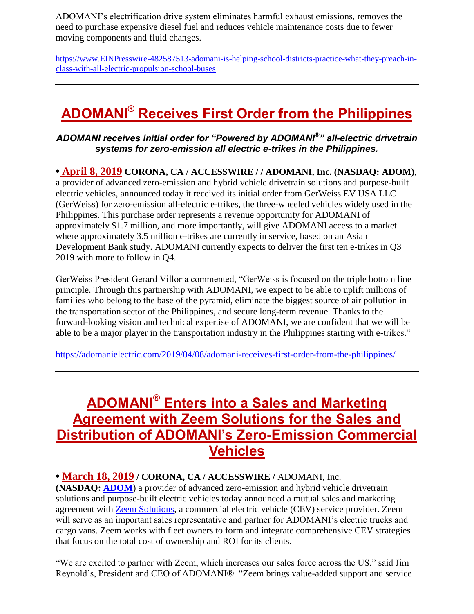ADOMANI's electrification drive system eliminates harmful exhaust emissions, removes the need to purchase expensive diesel fuel and reduces vehicle maintenance costs due to fewer moving components and fluid changes.

[https://www.EINPresswire-482587513-adomani-is-helping-school-districts-practice-what-they-preach-in](https://www.einpresswire-482587513-adomani-is-helping-school-districts-practice-what-they-preach-in-class-with-all-electric-propulsion-school-buses/)[class-with-all-electric-propulsion-school-buses](https://www.einpresswire-482587513-adomani-is-helping-school-districts-practice-what-they-preach-in-class-with-all-electric-propulsion-school-buses/)

# **ADOMANI® Receives First Order from the Philippines**

#### *ADOMANI receives initial order for "Powered by ADOMANI® " all-electric drivetrain systems for zero-emission all electric e-trikes in the Philippines.*

**• April 8, 2019 CORONA, CA / ACCESSWIRE / / ADOMANI, Inc. (NASDAQ: [ADOM\)](http://pr.report/Lf5yRFq4)**,

a provider of advanced zero-emission and hybrid vehicle drivetrain solutions and purpose-built electric vehicles, announced today it received its initial order from GerWeiss EV USA LLC (GerWeiss) for zero-emission all-electric e-trikes, the three-wheeled vehicles widely used in the Philippines. This purchase order represents a revenue opportunity for ADOMANI of approximately \$1.7 million, and more importantly, will give ADOMANI access to a market where approximately 3.5 million e-trikes are currently in service, based on an Asian Development Bank study. ADOMANI currently expects to deliver the first ten e-trikes in Q3 2019 with more to follow in Q4.

GerWeiss President Gerard Villoria commented, "GerWeiss is focused on the triple bottom line principle. Through this partnership with ADOMANI, we expect to be able to uplift millions of families who belong to the base of the pyramid, eliminate the biggest source of air pollution in the transportation sector of the Philippines, and secure long-term revenue. Thanks to the forward-looking vision and technical expertise of ADOMANI, we are confident that we will be able to be a major player in the transportation industry in the Philippines starting with e-trikes."

<https://adomanielectric.com/2019/04/08/adomani-receives-first-order-from-the-philippines/>

# **ADOMANI® Enters into a Sales and Marketing Agreement with Zeem Solutions for the Sales and Distribution of ADOMANI's Zero-Emission Commercial Vehicles**

#### **• March 18, 2019 / CORONA, CA / ACCESSWIRE /** ADOMANI, Inc.

**(NASDAQ: [ADOM](http://pr.report/IPE9jTZo)**) a provider of advanced zero-emission and hybrid vehicle drivetrain solutions and purpose-built electric vehicles today announced a mutual sales and marketing agreement with [Zeem Solutions,](https://www.zeemsolutions.com/) a commercial electric vehicle (CEV) service provider. Zeem will serve as an important sales representative and partner for ADOMANI's electric trucks and cargo vans. Zeem works with fleet owners to form and integrate comprehensive CEV strategies that focus on the total cost of ownership and ROI for its clients.

"We are excited to partner with Zeem, which increases our sales force across the US," said Jim Reynold's, President and CEO of ADOMANI®. "Zeem brings value-added support and service